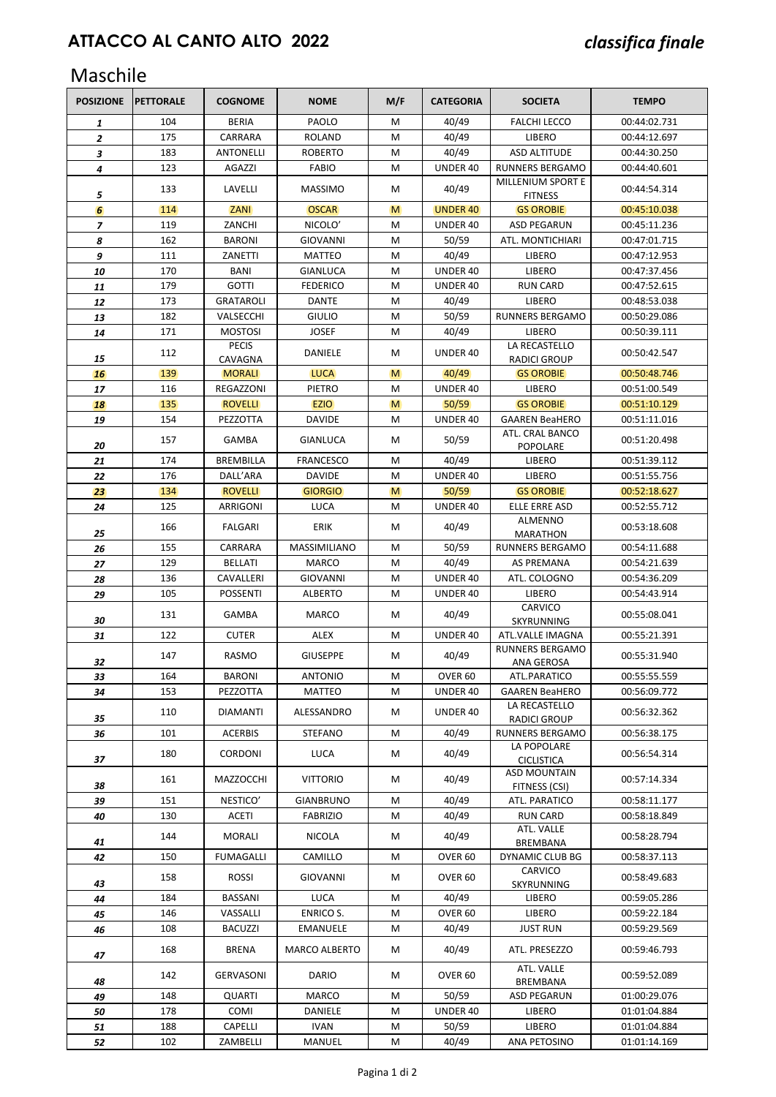## Maschile

| <b>POSIZIONE</b>         | <b>PETTORALE</b> | <b>COGNOME</b>               | <b>NOME</b>          | M/F | <b>CATEGORIA</b>  | <b>SOCIETA</b>                       | <b>TEMPO</b>                 |
|--------------------------|------------------|------------------------------|----------------------|-----|-------------------|--------------------------------------|------------------------------|
| 1                        | 104              | <b>BERIA</b>                 | PAOLO                | M   | 40/49             | <b>FALCHI LECCO</b>                  | 00:44:02.731                 |
| $\overline{2}$           | 175              | CARRARA                      | <b>ROLAND</b>        | M   | 40/49             | LIBERO                               | 00:44:12.697                 |
| 3                        | 183              | <b>ANTONELLI</b>             | <b>ROBERTO</b>       | M   | 40/49             | <b>ASD ALTITUDE</b>                  | 00:44:30.250                 |
| 4                        | 123              | <b>AGAZZI</b>                | <b>FABIO</b>         | M   | UNDER 40          | <b>RUNNERS BERGAMO</b>               | 00:44:40.601                 |
| 5                        | 133              | LAVELLI                      | <b>MASSIMO</b>       | м   | 40/49             | MILLENIUM SPORT E<br><b>FITNESS</b>  | 00:44:54.314                 |
| 6                        | 114              | <b>ZANI</b>                  | <b>OSCAR</b>         | M   | <b>UNDER 40</b>   | <b>GS OROBIE</b>                     | 00:45:10.038                 |
| $\overline{\phantom{a}}$ | 119              | ZANCHI                       | NICOLO'              | M   | UNDER 40          | <b>ASD PEGARUN</b>                   | 00:45:11.236                 |
| 8                        | 162              | <b>BARONI</b>                | <b>GIOVANNI</b>      | M   | 50/59             | ATL. MONTICHIARI                     | 00:47:01.715                 |
| 9                        | 111              | ZANETTI                      | <b>MATTEO</b>        | M   | 40/49             | LIBERO                               | 00:47:12.953                 |
| 10                       | 170              | BANI                         | GIANLUCA             | M   | UNDER 40          | LIBERO                               | 00:47:37.456                 |
| 11                       | 179              | <b>GOTTI</b>                 | <b>FEDERICO</b>      | M   | UNDER 40          | <b>RUN CARD</b>                      | 00:47:52.615                 |
| 12                       | 173              | <b>GRATAROLI</b>             | <b>DANTE</b>         | M   | 40/49             | LIBERO                               | 00:48:53.038                 |
| 13                       | 182              | VALSECCHI                    | <b>GIULIO</b>        | M   | 50/59             | <b>RUNNERS BERGAMO</b>               | 00:50:29.086                 |
| 14                       | 171              | <b>MOSTOSI</b>               | <b>JOSEF</b>         | M   | 40/49             | LIBERO                               | 00:50:39.111                 |
| 15                       | 112              | <b>PECIS</b><br>CAVAGNA      | DANIELE              | M   | UNDER 40          | LA RECASTELLO<br><b>RADICI GROUP</b> | 00:50:42.547                 |
| 16                       | 139              | <b>MORALI</b>                | <b>LUCA</b>          | M   | 40/49             | <b>GS OROBIE</b>                     | 00:50:48.746                 |
| 17                       | 116              | REGAZZONI                    | <b>PIETRO</b>        | M   | UNDER 40          | LIBERO                               | 00:51:00.549                 |
| 18                       | 135              | <b>ROVELLI</b>               | <b>EZIO</b>          | M   | 50/59             | <b>GS OROBIE</b>                     | 00:51:10.129                 |
| 19                       | 154              | PEZZOTTA                     | <b>DAVIDE</b>        | M   | UNDER 40          | <b>GAAREN BeaHERO</b>                | 00:51:11.016                 |
| 20                       | 157              | <b>GAMBA</b>                 | <b>GIANLUCA</b>      | M   | 50/59             | ATL. CRAL BANCO<br>POPOLARE          | 00:51:20.498                 |
| 21                       | 174              | BREMBILLA                    | <b>FRANCESCO</b>     | M   | 40/49             | LIBERO                               | 00:51:39.112                 |
| 22                       | 176              | DALL'ARA                     | <b>DAVIDE</b>        | M   | UNDER 40          | LIBERO                               | 00:51:55.756                 |
| 23                       | 134              | <b>ROVELLI</b>               | <b>GIORGIO</b>       | M   | 50/59             | <b>GS OROBIE</b>                     | 00:52:18.627                 |
| 24                       | 125              | ARRIGONI                     | <b>LUCA</b>          | M   | UNDER 40          | ELLE ERRE ASD                        | 00:52:55.712                 |
| 25                       | 166              | <b>FALGARI</b>               | <b>ERIK</b>          | M   | 40/49             | ALMENNO<br><b>MARATHON</b>           | 00:53:18.608                 |
| 26                       | 155              | CARRARA                      | MASSIMILIANO         | M   | 50/59             | <b>RUNNERS BERGAMO</b>               | 00:54:11.688                 |
| 27                       | 129              | <b>BELLATI</b>               | <b>MARCO</b>         | M   | 40/49             | <b>AS PREMANA</b>                    | 00:54:21.639                 |
| 28                       | 136              | CAVALLERI                    | <b>GIOVANNI</b>      | M   | UNDER 40          | ATL. COLOGNO                         | 00:54:36.209                 |
| 29                       | 105              | <b>POSSENTI</b>              | <b>ALBERTO</b>       | M   | UNDER 40          | LIBERO                               | 00:54:43.914                 |
| 30                       | 131              | GAMBA                        | <b>MARCO</b>         | M   | 40/49             | CARVICO<br>SKYRUNNING                | 00:55:08.041                 |
| 31                       | 122              | <b>CUTER</b>                 | ALEX                 | M   | UNDER 40          | ATL.VALLE IMAGNA                     | 00:55:21.391                 |
| 32                       | 147              | <b>RASMO</b>                 | <b>GIUSEPPE</b>      | м   | 40/49             | <b>RUNNERS BERGAMO</b><br>ANA GEROSA | 00:55:31.940                 |
| 33                       | 164              | <b>BARONI</b>                | ANTONIO              | M   | OVER 60           | ATL.PARATICO                         | 00:55:55.559                 |
| 34                       | 153              | PEZZOTTA                     | <b>MATTEO</b>        | M   | UNDER 40          | <b>GAAREN BeaHERO</b>                | 00:56:09.772                 |
| 35                       | 110              | <b>DIAMANTI</b>              | ALESSANDRO           | м   | UNDER 40          | LA RECASTELLO<br><b>RADICI GROUP</b> | 00:56:32.362                 |
| 36                       | 101              | <b>ACERBIS</b>               | <b>STEFANO</b>       | м   | 40/49             | <b>RUNNERS BERGAMO</b>               | 00:56:38.175                 |
| 37                       | 180              | <b>CORDONI</b>               | <b>LUCA</b>          | м   | 40/49             | LA POPOLARE<br><b>CICLISTICA</b>     | 00:56:54.314                 |
| 38                       | 161              | MAZZOCCHI                    | <b>VITTORIO</b>      | M   | 40/49             | <b>ASD MOUNTAIN</b><br>FITNESS (CSI) | 00:57:14.334                 |
| 39                       | 151              | NESTICO'                     | <b>GIANBRUNO</b>     | М   | 40/49             | ATL. PARATICO                        | 00:58:11.177                 |
| 40                       | 130              | ACETI                        | <b>FABRIZIO</b>      | М   | 40/49             | RUN CARD                             | 00:58:18.849                 |
| 41                       | 144              | <b>MORALI</b>                | <b>NICOLA</b>        | м   | 40/49             | ATL. VALLE<br>BREMBANA               | 00:58:28.794                 |
| 42                       | 150              | <b>FUMAGALLI</b>             | CAMILLO              | Μ   | OVER 60           | DYNAMIC CLUB BG                      | 00:58:37.113                 |
| 43                       | 158              | ROSSI                        | GIOVANNI             | м   | OVER 60           | CARVICO<br>SKYRUNNING                | 00:58:49.683                 |
| 44                       | 184              | BASSANI                      | <b>LUCA</b>          | м   | 40/49             | LIBERO                               | 00:59:05.286                 |
| 45                       | 146              | VASSALLI                     | ENRICO S.            | M   | OVER 60           | LIBERO                               | 00:59:22.184                 |
| 46                       | 108              | <b>BACUZZI</b>               | EMANUELE             | м   | 40/49             | <b>JUST RUN</b>                      | 00:59:29.569                 |
| 47                       | 168              | <b>BRENA</b>                 | <b>MARCO ALBERTO</b> | M   | 40/49             | ATL. PRESEZZO                        | 00:59:46.793                 |
|                          | 142              | GERVASONI                    | <b>DARIO</b>         | м   | OVER 60           | ATL. VALLE                           | 00:59:52.089                 |
| 48                       |                  |                              |                      |     |                   | BREMBANA                             |                              |
| 49                       | 148<br>178       | <b>QUARTI</b><br><b>COMI</b> | MARCO<br>DANIELE     | м   | 50/59<br>UNDER 40 | ASD PEGARUN                          | 01:00:29.076<br>01:01:04.884 |
| 50                       | 188              | CAPELLI                      | <b>IVAN</b>          | М   | 50/59             | LIBERO<br>LIBERO                     | 01:01:04.884                 |
| 51                       | 102              | ZAMBELLI                     |                      | М   | 40/49             |                                      |                              |
| 52                       |                  |                              | MANUEL               | Μ   |                   | ANA PETOSINO                         | 01:01:14.169                 |